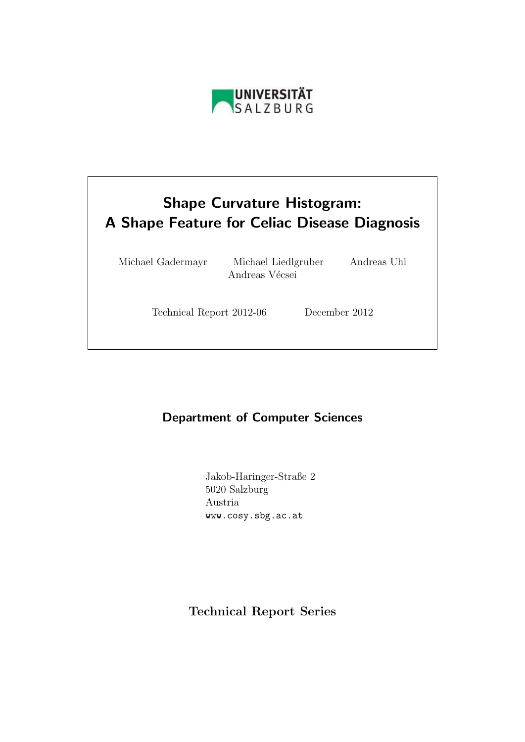

# Shape Curvature Histogram: A Shape Feature for Celiac Disease Diagnosis

Michael Gadermayr Michael Liedlgruber Andreas Uhl Andreas Vécsei

Technical Report 2012-06 December 2012

# Department of Computer Sciences

Jakob-Haringer-Straße 2 5020 Salzburg Austria www.cosy.sbg.ac.at

Technical Report Series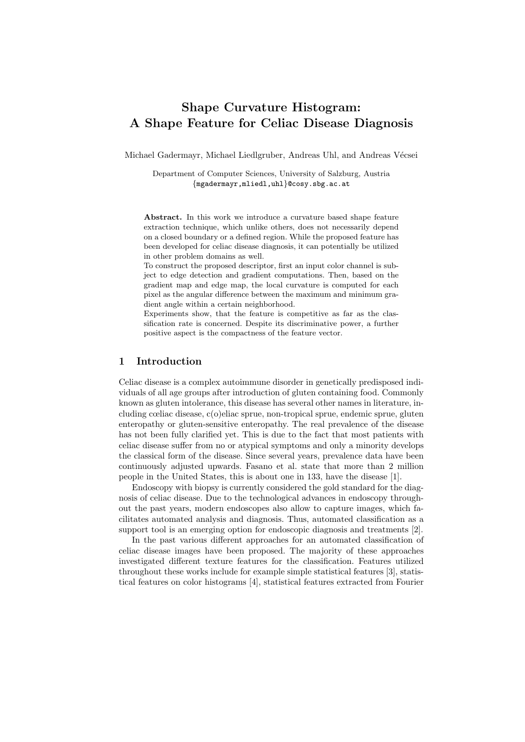# Shape Curvature Histogram: A Shape Feature for Celiac Disease Diagnosis

Michael Gadermayr, Michael Liedlgruber, Andreas Uhl, and Andreas Vécsei

Department of Computer Sciences, University of Salzburg, Austria {mgadermayr,mliedl,uhl}@cosy.sbg.ac.at

Abstract. In this work we introduce a curvature based shape feature extraction technique, which unlike others, does not necessarily depend on a closed boundary or a defined region. While the proposed feature has been developed for celiac disease diagnosis, it can potentially be utilized in other problem domains as well.

To construct the proposed descriptor, first an input color channel is subject to edge detection and gradient computations. Then, based on the gradient map and edge map, the local curvature is computed for each pixel as the angular difference between the maximum and minimum gradient angle within a certain neighborhood.

Experiments show, that the feature is competitive as far as the classification rate is concerned. Despite its discriminative power, a further positive aspect is the compactness of the feature vector.

# 1 Introduction

Celiac disease is a complex autoimmune disorder in genetically predisposed individuals of all age groups after introduction of gluten containing food. Commonly known as gluten intolerance, this disease has several other names in literature, including cœliac disease, c(o)eliac sprue, non-tropical sprue, endemic sprue, gluten enteropathy or gluten-sensitive enteropathy. The real prevalence of the disease has not been fully clarified yet. This is due to the fact that most patients with celiac disease suffer from no or atypical symptoms and only a minority develops the classical form of the disease. Since several years, prevalence data have been continuously adjusted upwards. Fasano et al. state that more than 2 million people in the United States, this is about one in 133, have the disease [1].

Endoscopy with biopsy is currently considered the gold standard for the diagnosis of celiac disease. Due to the technological advances in endoscopy throughout the past years, modern endoscopes also allow to capture images, which facilitates automated analysis and diagnosis. Thus, automated classification as a support tool is an emerging option for endoscopic diagnosis and treatments [2].

In the past various different approaches for an automated classification of celiac disease images have been proposed. The majority of these approaches investigated different texture features for the classification. Features utilized throughout these works include for example simple statistical features [3], statistical features on color histograms [4], statistical features extracted from Fourier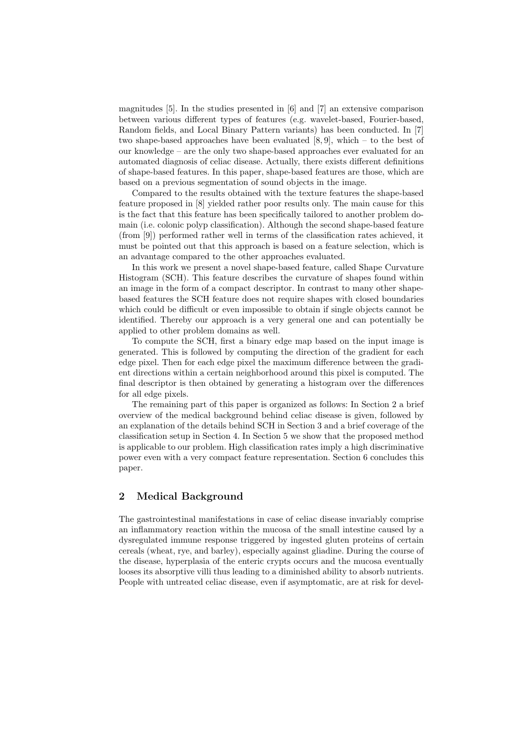magnitudes [5]. In the studies presented in [6] and [7] an extensive comparison between various different types of features (e.g. wavelet-based, Fourier-based, Random fields, and Local Binary Pattern variants) has been conducted. In [7] two shape-based approaches have been evaluated  $[8, 9]$ , which – to the best of our knowledge – are the only two shape-based approaches ever evaluated for an automated diagnosis of celiac disease. Actually, there exists different definitions of shape-based features. In this paper, shape-based features are those, which are based on a previous segmentation of sound objects in the image.

Compared to the results obtained with the texture features the shape-based feature proposed in [8] yielded rather poor results only. The main cause for this is the fact that this feature has been specifically tailored to another problem domain (i.e. colonic polyp classification). Although the second shape-based feature (from [9]) performed rather well in terms of the classification rates achieved, it must be pointed out that this approach is based on a feature selection, which is an advantage compared to the other approaches evaluated.

In this work we present a novel shape-based feature, called Shape Curvature Histogram (SCH). This feature describes the curvature of shapes found within an image in the form of a compact descriptor. In contrast to many other shapebased features the SCH feature does not require shapes with closed boundaries which could be difficult or even impossible to obtain if single objects cannot be identified. Thereby our approach is a very general one and can potentially be applied to other problem domains as well.

To compute the SCH, first a binary edge map based on the input image is generated. This is followed by computing the direction of the gradient for each edge pixel. Then for each edge pixel the maximum difference between the gradient directions within a certain neighborhood around this pixel is computed. The final descriptor is then obtained by generating a histogram over the differences for all edge pixels.

The remaining part of this paper is organized as follows: In Section 2 a brief overview of the medical background behind celiac disease is given, followed by an explanation of the details behind SCH in Section 3 and a brief coverage of the classification setup in Section 4. In Section 5 we show that the proposed method is applicable to our problem. High classification rates imply a high discriminative power even with a very compact feature representation. Section 6 concludes this paper.

# 2 Medical Background

The gastrointestinal manifestations in case of celiac disease invariably comprise an inflammatory reaction within the mucosa of the small intestine caused by a dysregulated immune response triggered by ingested gluten proteins of certain cereals (wheat, rye, and barley), especially against gliadine. During the course of the disease, hyperplasia of the enteric crypts occurs and the mucosa eventually looses its absorptive villi thus leading to a diminished ability to absorb nutrients. People with untreated celiac disease, even if asymptomatic, are at risk for devel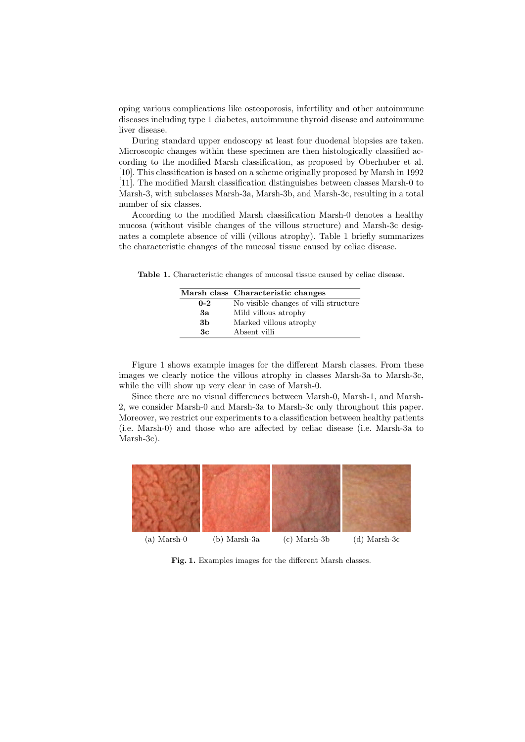oping various complications like osteoporosis, infertility and other autoimmune diseases including type 1 diabetes, autoimmune thyroid disease and autoimmune liver disease.

During standard upper endoscopy at least four duodenal biopsies are taken. Microscopic changes within these specimen are then histologically classified according to the modified Marsh classification, as proposed by Oberhuber et al. [10]. This classification is based on a scheme originally proposed by Marsh in 1992 [11]. The modified Marsh classification distinguishes between classes Marsh-0 to Marsh-3, with subclasses Marsh-3a, Marsh-3b, and Marsh-3c, resulting in a total number of six classes.

According to the modified Marsh classification Marsh-0 denotes a healthy mucosa (without visible changes of the villous structure) and Marsh-3c designates a complete absence of villi (villous atrophy). Table 1 briefly summarizes the characteristic changes of the mucosal tissue caused by celiac disease.

Table 1. Characteristic changes of mucosal tissue caused by celiac disease.

|         | Marsh class Characteristic changes    |
|---------|---------------------------------------|
| $0 - 2$ | No visible changes of villi structure |
| 3a      | Mild villous atrophy                  |
| 3b      | Marked villous atrophy                |
| 3c      | Absent villi                          |
|         |                                       |

Figure 1 shows example images for the different Marsh classes. From these images we clearly notice the villous atrophy in classes Marsh-3a to Marsh-3c, while the villi show up very clear in case of Marsh-0.

Since there are no visual differences between Marsh-0, Marsh-1, and Marsh-2, we consider Marsh-0 and Marsh-3a to Marsh-3c only throughout this paper. Moreover, we restrict our experiments to a classification between healthy patients (i.e. Marsh-0) and those who are affected by celiac disease (i.e. Marsh-3a to Marsh-3c).



Fig. 1. Examples images for the different Marsh classes.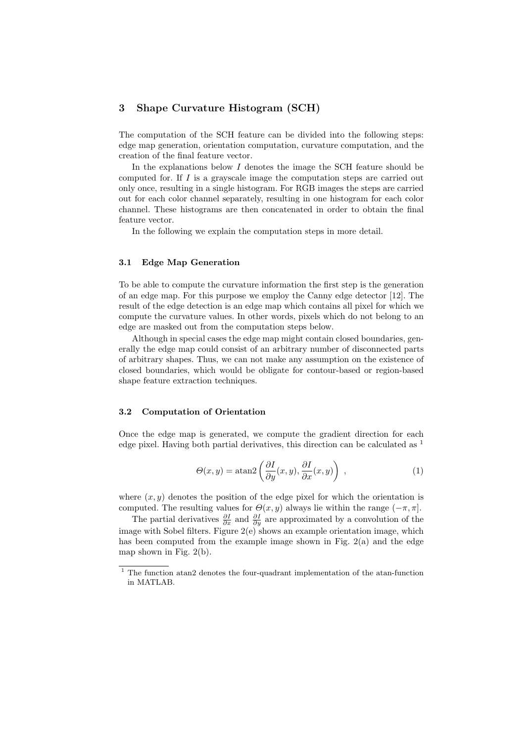# 3 Shape Curvature Histogram (SCH)

The computation of the SCH feature can be divided into the following steps: edge map generation, orientation computation, curvature computation, and the creation of the final feature vector.

In the explanations below  $I$  denotes the image the SCH feature should be computed for. If  $I$  is a grayscale image the computation steps are carried out only once, resulting in a single histogram. For RGB images the steps are carried out for each color channel separately, resulting in one histogram for each color channel. These histograms are then concatenated in order to obtain the final feature vector.

In the following we explain the computation steps in more detail.

#### 3.1 Edge Map Generation

To be able to compute the curvature information the first step is the generation of an edge map. For this purpose we employ the Canny edge detector [12]. The result of the edge detection is an edge map which contains all pixel for which we compute the curvature values. In other words, pixels which do not belong to an edge are masked out from the computation steps below.

Although in special cases the edge map might contain closed boundaries, generally the edge map could consist of an arbitrary number of disconnected parts of arbitrary shapes. Thus, we can not make any assumption on the existence of closed boundaries, which would be obligate for contour-based or region-based shape feature extraction techniques.

#### 3.2 Computation of Orientation

Once the edge map is generated, we compute the gradient direction for each edge pixel. Having both partial derivatives, this direction can be calculated as  $<sup>1</sup>$ </sup>

$$
\Theta(x,y) = \operatorname{atan2}\left(\frac{\partial I}{\partial y}(x,y), \frac{\partial I}{\partial x}(x,y)\right) ,\qquad (1)
$$

where  $(x, y)$  denotes the position of the edge pixel for which the orientation is computed. The resulting values for  $\Theta(x, y)$  always lie within the range  $(-\pi, \pi]$ .

The partial derivatives  $\frac{\partial I}{\partial x}$  and  $\frac{\partial I}{\partial y}$  are approximated by a convolution of the image with Sobel filters. Figure 2(e) shows an example orientation image, which has been computed from the example image shown in Fig. 2(a) and the edge map shown in Fig.  $2(b)$ .

 $^{\rm 1}$  The function at<br>an<br>2 denotes the four-quadrant implementation of the atan-function in MATLAB.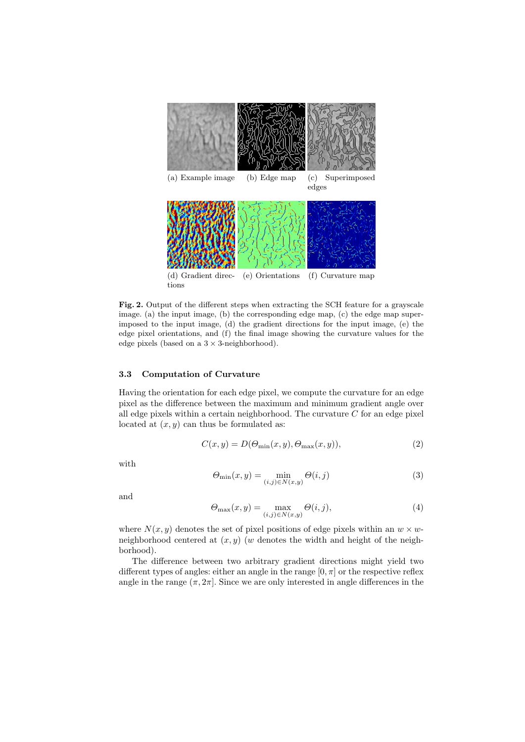

tions

Fig. 2. Output of the different steps when extracting the SCH feature for a grayscale image. (a) the input image, (b) the corresponding edge map,  $(c)$  the edge map superimposed to the input image, (d) the gradient directions for the input image, (e) the edge pixel orientations, and (f) the final image showing the curvature values for the edge pixels (based on a  $3 \times 3$ -neighborhood).

### 3.3 Computation of Curvature

Having the orientation for each edge pixel, we compute the curvature for an edge pixel as the difference between the maximum and minimum gradient angle over all edge pixels within a certain neighborhood. The curvature  $C$  for an edge pixel located at  $(x, y)$  can thus be formulated as:

$$
C(x, y) = D(\Theta_{\min}(x, y), \Theta_{\max}(x, y)), \qquad (2)
$$

with

$$
\Theta_{\min}(x,y) = \min_{(i,j)\in N(x,y)} \Theta(i,j) \tag{3}
$$

and

$$
\Theta_{\max}(x,y) = \max_{(i,j)\in N(x,y)} \Theta(i,j),\tag{4}
$$

where  $N(x, y)$  denotes the set of pixel positions of edge pixels within an  $w \times w$ neighborhood centered at  $(x, y)$  (w denotes the width and height of the neighborhood).

The difference between two arbitrary gradient directions might yield two different types of angles: either an angle in the range  $[0, \pi]$  or the respective reflex angle in the range  $(\pi, 2\pi]$ . Since we are only interested in angle differences in the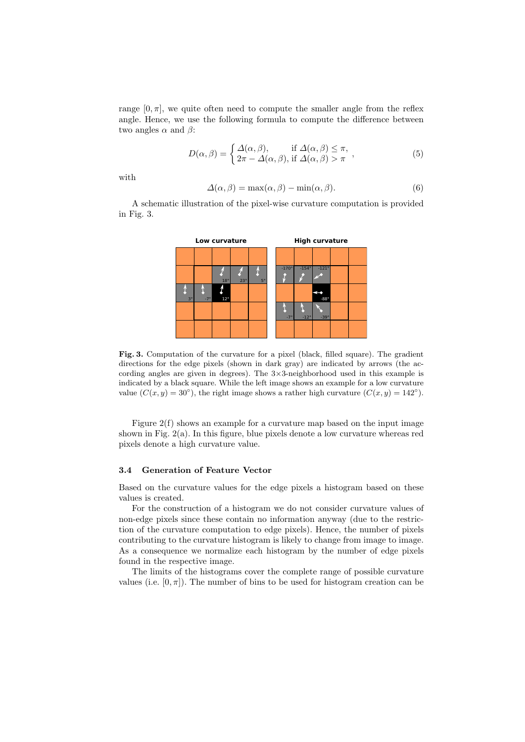range  $[0, \pi]$ , we quite often need to compute the smaller angle from the reflex angle. Hence, we use the following formula to compute the difference between two angles  $\alpha$  and  $\beta$ :

$$
D(\alpha, \beta) = \begin{cases} \Delta(\alpha, \beta), & \text{if } \Delta(\alpha, \beta) \le \pi, \\ 2\pi - \Delta(\alpha, \beta), & \text{if } \Delta(\alpha, \beta) > \pi \end{cases},
$$
(5)

with

$$
\Delta(\alpha, \beta) = \max(\alpha, \beta) - \min(\alpha, \beta). \tag{6}
$$

A schematic illustration of the pixel-wise curvature computation is provided in Fig. 3.



Fig. 3. Computation of the curvature for a pixel (black, filled square). The gradient directions for the edge pixels (shown in dark gray) are indicated by arrows (the according angles are given in degrees). The  $3\times3$ -neighborhood used in this example is indicated by a black square. While the left image shows an example for a low curvature value  $(C(x, y) = 30^{\circ})$ , the right image shows a rather high curvature  $(C(x, y) = 142^{\circ})$ .

Figure 2(f) shows an example for a curvature map based on the input image shown in Fig. 2(a). In this figure, blue pixels denote a low curvature whereas red pixels denote a high curvature value.

#### 3.4 Generation of Feature Vector

Based on the curvature values for the edge pixels a histogram based on these values is created.

For the construction of a histogram we do not consider curvature values of non-edge pixels since these contain no information anyway (due to the restriction of the curvature computation to edge pixels). Hence, the number of pixels contributing to the curvature histogram is likely to change from image to image. As a consequence we normalize each histogram by the number of edge pixels found in the respective image.

The limits of the histograms cover the complete range of possible curvature values (i.e.  $[0, \pi]$ ). The number of bins to be used for histogram creation can be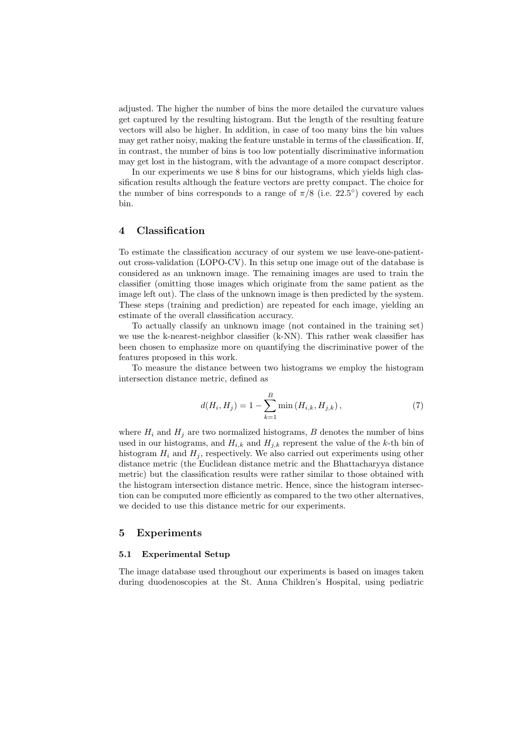adjusted. The higher the number of bins the more detailed the curvature values get captured by the resulting histogram. But the length of the resulting feature vectors will also be higher. In addition, in case of too many bins the bin values may get rather noisy, making the feature unstable in terms of the classification. If, in contrast, the number of bins is too low potentially discriminative information may get lost in the histogram, with the advantage of a more compact descriptor.

In our experiments we use 8 bins for our histograms, which yields high classification results although the feature vectors are pretty compact. The choice for the number of bins corresponds to a range of  $\pi/8$  (i.e. 22.5°) covered by each bin.

## 4 Classification

To estimate the classification accuracy of our system we use leave-one-patientout cross-validation (LOPO-CV). In this setup one image out of the database is considered as an unknown image. The remaining images are used to train the classifier (omitting those images which originate from the same patient as the image left out). The class of the unknown image is then predicted by the system. These steps (training and prediction) are repeated for each image, yielding an estimate of the overall classification accuracy.

To actually classify an unknown image (not contained in the training set) we use the k-nearest-neighbor classifier (k-NN). This rather weak classifier has been chosen to emphasize more on quantifying the discriminative power of the features proposed in this work.

To measure the distance between two histograms we employ the histogram intersection distance metric, defined as

$$
d(H_i, H_j) = 1 - \sum_{k=1}^{B} \min(H_{i,k}, H_{j,k}),
$$
\n(7)

where  $H_i$  and  $H_j$  are two normalized histograms, B denotes the number of bins used in our histograms, and  $H_{i,k}$  and  $H_{j,k}$  represent the value of the k-th bin of histogram  $H_i$  and  $H_j$ , respectively. We also carried out experiments using other distance metric (the Euclidean distance metric and the Bhattacharyya distance metric) but the classification results were rather similar to those obtained with the histogram intersection distance metric. Hence, since the histogram intersection can be computed more efficiently as compared to the two other alternatives, we decided to use this distance metric for our experiments.

#### 5 Experiments

#### 5.1 Experimental Setup

The image database used throughout our experiments is based on images taken during duodenoscopies at the St. Anna Children's Hospital, using pediatric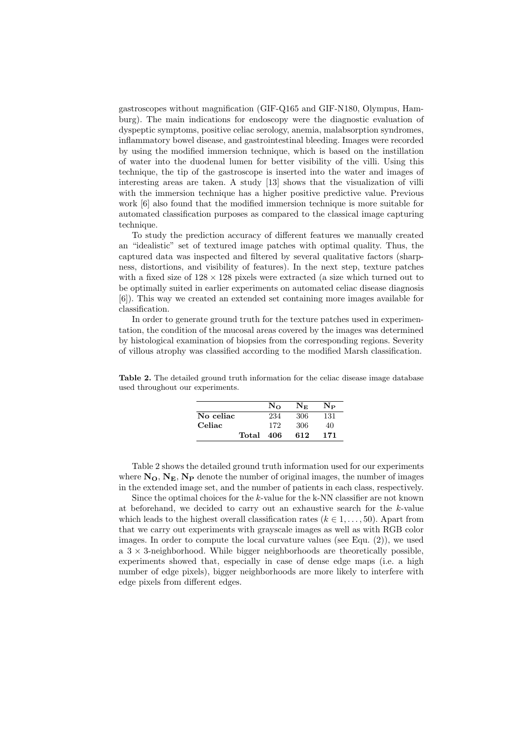gastroscopes without magnification (GIF-Q165 and GIF-N180, Olympus, Hamburg). The main indications for endoscopy were the diagnostic evaluation of dyspeptic symptoms, positive celiac serology, anemia, malabsorption syndromes, inflammatory bowel disease, and gastrointestinal bleeding. Images were recorded by using the modified immersion technique, which is based on the instillation of water into the duodenal lumen for better visibility of the villi. Using this technique, the tip of the gastroscope is inserted into the water and images of interesting areas are taken. A study [13] shows that the visualization of villi with the immersion technique has a higher positive predictive value. Previous work [6] also found that the modified immersion technique is more suitable for automated classification purposes as compared to the classical image capturing technique.

To study the prediction accuracy of different features we manually created an "idealistic" set of textured image patches with optimal quality. Thus, the captured data was inspected and filtered by several qualitative factors (sharpness, distortions, and visibility of features). In the next step, texture patches with a fixed size of  $128 \times 128$  pixels were extracted (a size which turned out to be optimally suited in earlier experiments on automated celiac disease diagnosis [6]). This way we created an extended set containing more images available for classification.

In order to generate ground truth for the texture patches used in experimentation, the condition of the mucosal areas covered by the images was determined by histological examination of biopsies from the corresponding regions. Severity of villous atrophy was classified according to the modified Marsh classification.

Table 2. The detailed ground truth information for the celiac disease image database used throughout our experiments.

|           |       | $N_{\Omega}$ | $N_{\rm E}$ | $\rm N_{\rm P}$ |
|-----------|-------|--------------|-------------|-----------------|
| No celiac |       | 234          | 306         | 131             |
| Celiac    |       | 172          | 306         | 40              |
|           | Total | 406          | 612         | 171             |

Table 2 shows the detailed ground truth information used for our experiments where  $N_O$ ,  $N_E$ ,  $N_P$  denote the number of original images, the number of images in the extended image set, and the number of patients in each class, respectively.

Since the optimal choices for the k-value for the k-NN classifier are not known at beforehand, we decided to carry out an exhaustive search for the k-value which leads to the highest overall classification rates ( $k \in 1, \ldots, 50$ ). Apart from that we carry out experiments with grayscale images as well as with RGB color images. In order to compute the local curvature values (see Equ. (2)), we used  $a \cdot 3 \times 3$ -neighborhood. While bigger neighborhoods are theoretically possible, experiments showed that, especially in case of dense edge maps (i.e. a high number of edge pixels), bigger neighborhoods are more likely to interfere with edge pixels from different edges.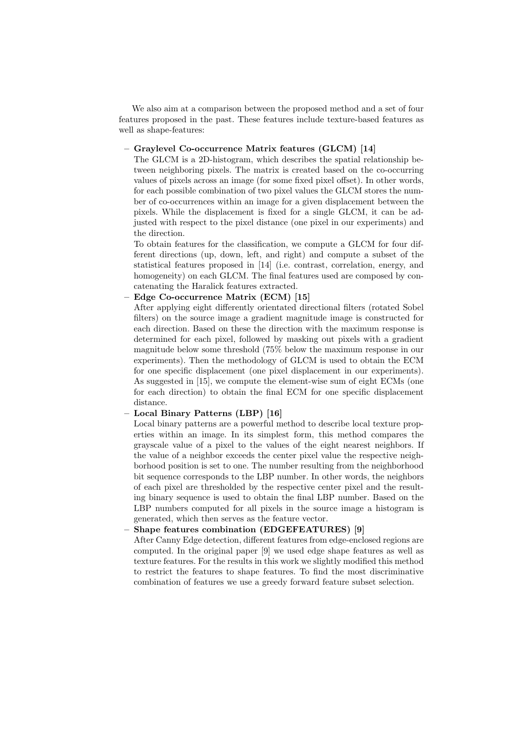We also aim at a comparison between the proposed method and a set of four features proposed in the past. These features include texture-based features as well as shape-features:

#### – Graylevel Co-occurrence Matrix features (GLCM) [14]

The GLCM is a 2D-histogram, which describes the spatial relationship between neighboring pixels. The matrix is created based on the co-occurring values of pixels across an image (for some fixed pixel offset). In other words, for each possible combination of two pixel values the GLCM stores the number of co-occurrences within an image for a given displacement between the pixels. While the displacement is fixed for a single GLCM, it can be adjusted with respect to the pixel distance (one pixel in our experiments) and the direction.

To obtain features for the classification, we compute a GLCM for four different directions (up, down, left, and right) and compute a subset of the statistical features proposed in [14] (i.e. contrast, correlation, energy, and homogeneity) on each GLCM. The final features used are composed by concatenating the Haralick features extracted.

#### – Edge Co-occurrence Matrix (ECM) [15]

After applying eight differently orientated directional filters (rotated Sobel filters) on the source image a gradient magnitude image is constructed for each direction. Based on these the direction with the maximum response is determined for each pixel, followed by masking out pixels with a gradient magnitude below some threshold (75% below the maximum response in our experiments). Then the methodology of GLCM is used to obtain the ECM for one specific displacement (one pixel displacement in our experiments). As suggested in [15], we compute the element-wise sum of eight ECMs (one for each direction) to obtain the final ECM for one specific displacement distance.

#### – Local Binary Patterns (LBP) [16]

Local binary patterns are a powerful method to describe local texture properties within an image. In its simplest form, this method compares the grayscale value of a pixel to the values of the eight nearest neighbors. If the value of a neighbor exceeds the center pixel value the respective neighborhood position is set to one. The number resulting from the neighborhood bit sequence corresponds to the LBP number. In other words, the neighbors of each pixel are thresholded by the respective center pixel and the resulting binary sequence is used to obtain the final LBP number. Based on the LBP numbers computed for all pixels in the source image a histogram is generated, which then serves as the feature vector.

#### – Shape features combination (EDGEFEATURES) [9]

After Canny Edge detection, different features from edge-enclosed regions are computed. In the original paper [9] we used edge shape features as well as texture features. For the results in this work we slightly modified this method to restrict the features to shape features. To find the most discriminative combination of features we use a greedy forward feature subset selection.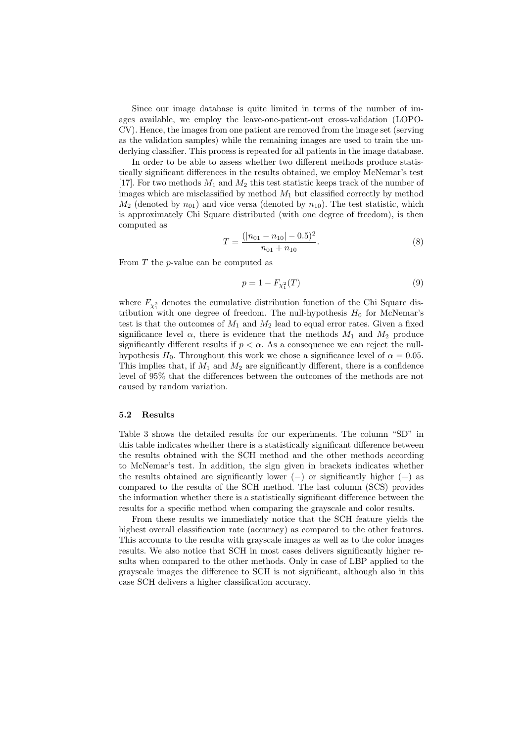Since our image database is quite limited in terms of the number of images available, we employ the leave-one-patient-out cross-validation (LOPO-CV). Hence, the images from one patient are removed from the image set (serving as the validation samples) while the remaining images are used to train the underlying classifier. This process is repeated for all patients in the image database.

In order to be able to assess whether two different methods produce statistically significant differences in the results obtained, we employ McNemar's test [17]. For two methods  $M_1$  and  $M_2$  this test statistic keeps track of the number of images which are misclassified by method  $M_1$  but classified correctly by method  $M_2$  (denoted by  $n_{01}$ ) and vice versa (denoted by  $n_{10}$ ). The test statistic, which is approximately Chi Square distributed (with one degree of freedom), is then computed as

$$
T = \frac{(|n_{01} - n_{10}| - 0.5)^2}{n_{01} + n_{10}}.
$$
\n(8)

From T the *p*-value can be computed as

$$
p = 1 - F_{\chi_1^2}(T) \tag{9}
$$

where  $F_{\chi_1^2}$  denotes the cumulative distribution function of the Chi Square distribution with one degree of freedom. The null-hypothesis  $H_0$  for McNemar's test is that the outcomes of  $M_1$  and  $M_2$  lead to equal error rates. Given a fixed significance level  $\alpha$ , there is evidence that the methods  $M_1$  and  $M_2$  produce significantly different results if  $p < \alpha$ . As a consequence we can reject the nullhypothesis  $H_0$ . Throughout this work we chose a significance level of  $\alpha = 0.05$ . This implies that, if  $M_1$  and  $M_2$  are significantly different, there is a confidence level of 95% that the differences between the outcomes of the methods are not caused by random variation.

#### 5.2 Results

Table 3 shows the detailed results for our experiments. The column "SD" in this table indicates whether there is a statistically significant difference between the results obtained with the SCH method and the other methods according to McNemar's test. In addition, the sign given in brackets indicates whether the results obtained are significantly lower  $(-)$  or significantly higher  $(+)$  as compared to the results of the SCH method. The last column (SCS) provides the information whether there is a statistically significant difference between the results for a specific method when comparing the grayscale and color results.

From these results we immediately notice that the SCH feature yields the highest overall classification rate (accuracy) as compared to the other features. This accounts to the results with grayscale images as well as to the color images results. We also notice that SCH in most cases delivers significantly higher results when compared to the other methods. Only in case of LBP applied to the grayscale images the difference to SCH is not significant, although also in this case SCH delivers a higher classification accuracy.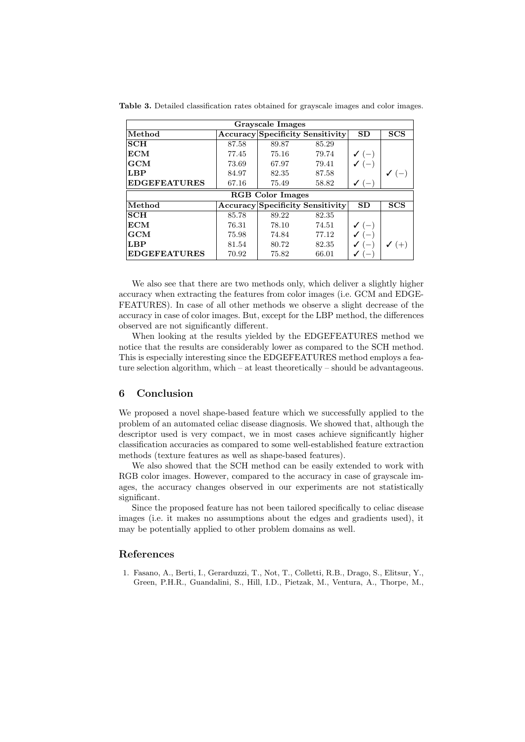| <b>Grayscale Images</b> |       |       |                                         |                    |            |  |  |  |
|-------------------------|-------|-------|-----------------------------------------|--------------------|------------|--|--|--|
| Method                  |       |       | <b>Accuracy Specificity Sensitivity</b> | <b>SD</b>          | <b>SCS</b> |  |  |  |
| <b>SCH</b>              | 87.58 | 89.87 | 85.29                                   |                    |            |  |  |  |
| <b>ECM</b>              | 77.45 | 75.16 | 79.74                                   | $\checkmark$ (-)   |            |  |  |  |
| GCM                     | 73.69 | 67.97 | 79.41                                   | $\checkmark$ (-)   |            |  |  |  |
| <b>LBP</b>              | 84.97 | 82.35 | 87.58                                   |                    |            |  |  |  |
| <b>EDGEFEATURES</b>     | 67.16 | 75.49 | 58.82                                   | $\checkmark$ ( $-$ |            |  |  |  |
| <b>RGB</b> Color Images |       |       |                                         |                    |            |  |  |  |
| Method                  |       |       | Accuracy Specificity Sensitivity        | <b>SD</b>          | <b>SCS</b> |  |  |  |
| SCH                     | 85.78 | 89.22 | 82.35                                   |                    |            |  |  |  |
| <b>ECM</b>              | 76.31 | 78.10 | 74.51                                   | $\checkmark$ (-)   |            |  |  |  |
| GCM                     | 75.98 | 74.84 | 77.12                                   | $\checkmark$ (-)   |            |  |  |  |
| <b>LBP</b>              | 81.54 | 80.72 | 82.35                                   | $(-)$              | $(+)$      |  |  |  |
| <b>EDGEFEATURES</b>     | 70.92 | 75.82 | 66.01                                   |                    |            |  |  |  |

Table 3. Detailed classification rates obtained for grayscale images and color images.

We also see that there are two methods only, which deliver a slightly higher accuracy when extracting the features from color images (i.e. GCM and EDGE-FEATURES). In case of all other methods we observe a slight decrease of the accuracy in case of color images. But, except for the LBP method, the differences observed are not significantly different.

When looking at the results yielded by the EDGEFEATURES method we notice that the results are considerably lower as compared to the SCH method. This is especially interesting since the EDGEFEATURES method employs a feature selection algorithm, which – at least theoretically – should be advantageous.

# 6 Conclusion

We proposed a novel shape-based feature which we successfully applied to the problem of an automated celiac disease diagnosis. We showed that, although the descriptor used is very compact, we in most cases achieve significantly higher classification accuracies as compared to some well-established feature extraction methods (texture features as well as shape-based features).

We also showed that the SCH method can be easily extended to work with RGB color images. However, compared to the accuracy in case of grayscale images, the accuracy changes observed in our experiments are not statistically significant.

Since the proposed feature has not been tailored specifically to celiac disease images (i.e. it makes no assumptions about the edges and gradients used), it may be potentially applied to other problem domains as well.

### References

1. Fasano, A., Berti, I., Gerarduzzi, T., Not, T., Colletti, R.B., Drago, S., Elitsur, Y., Green, P.H.R., Guandalini, S., Hill, I.D., Pietzak, M., Ventura, A., Thorpe, M.,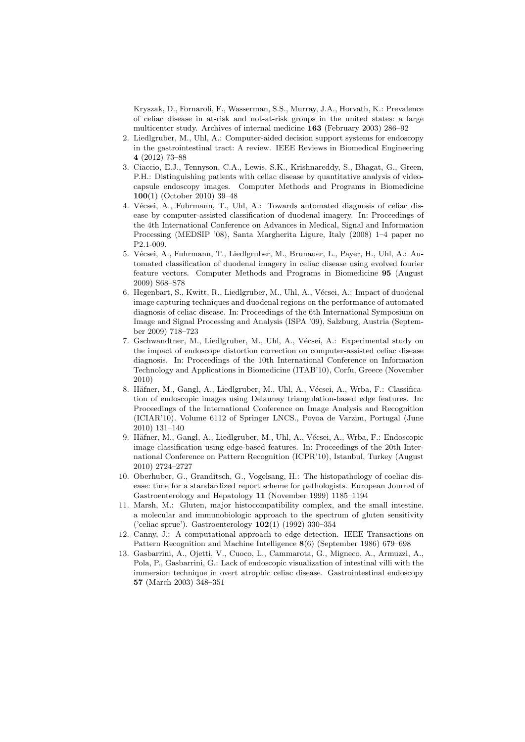Kryszak, D., Fornaroli, F., Wasserman, S.S., Murray, J.A., Horvath, K.: Prevalence of celiac disease in at-risk and not-at-risk groups in the united states: a large multicenter study. Archives of internal medicine 163 (February 2003) 286–92

- 2. Liedlgruber, M., Uhl, A.: Computer-aided decision support systems for endoscopy in the gastrointestinal tract: A review. IEEE Reviews in Biomedical Engineering 4 (2012) 73–88
- 3. Ciaccio, E.J., Tennyson, C.A., Lewis, S.K., Krishnareddy, S., Bhagat, G., Green, P.H.: Distinguishing patients with celiac disease by quantitative analysis of videocapsule endoscopy images. Computer Methods and Programs in Biomedicine 100(1) (October 2010) 39–48
- 4. Vécsei, A., Fuhrmann, T., Uhl, A.: Towards automated diagnosis of celiac disease by computer-assisted classification of duodenal imagery. In: Proceedings of the 4th International Conference on Advances in Medical, Signal and Information Processing (MEDSIP '08), Santa Margherita Ligure, Italy (2008) 1–4 paper no P2.1-009.
- 5. Vécsei, A., Fuhrmann, T., Liedlgruber, M., Brunauer, L., Payer, H., Uhl, A.: Automated classification of duodenal imagery in celiac disease using evolved fourier feature vectors. Computer Methods and Programs in Biomedicine 95 (August 2009) S68–S78
- 6. Hegenbart, S., Kwitt, R., Liedlgruber, M., Uhl, A., Vécsei, A.: Impact of duodenal image capturing techniques and duodenal regions on the performance of automated diagnosis of celiac disease. In: Proceedings of the 6th International Symposium on Image and Signal Processing and Analysis (ISPA '09), Salzburg, Austria (September 2009) 718–723
- 7. Gschwandtner, M., Liedlgruber, M., Uhl, A., Vécsei, A.: Experimental study on the impact of endoscope distortion correction on computer-assisted celiac disease diagnosis. In: Proceedings of the 10th International Conference on Information Technology and Applications in Biomedicine (ITAB'10), Corfu, Greece (November 2010)
- 8. Häfner, M., Gangl, A., Liedlgruber, M., Uhl, A., Vécsei, A., Wrba, F.: Classification of endoscopic images using Delaunay triangulation-based edge features. In: Proceedings of the International Conference on Image Analysis and Recognition (ICIAR'10). Volume 6112 of Springer LNCS., Povoa de Varzim, Portugal (June 2010) 131–140
- 9. Häfner, M., Gangl, A., Liedlgruber, M., Uhl, A., Vécsei, A., Wrba, F.: Endoscopic image classification using edge-based features. In: Proceedings of the 20th International Conference on Pattern Recognition (ICPR'10), Istanbul, Turkey (August 2010) 2724–2727
- 10. Oberhuber, G., Granditsch, G., Vogelsang, H.: The histopathology of coeliac disease: time for a standardized report scheme for pathologists. European Journal of Gastroenterology and Hepatology 11 (November 1999) 1185–1194
- 11. Marsh, M.: Gluten, major histocompatibility complex, and the small intestine. a molecular and immunobiologic approach to the spectrum of gluten sensitivity ('celiac sprue'). Gastroenterology 102(1) (1992) 330–354
- 12. Canny, J.: A computational approach to edge detection. IEEE Transactions on Pattern Recognition and Machine Intelligence 8(6) (September 1986) 679–698
- 13. Gasbarrini, A., Ojetti, V., Cuoco, L., Cammarota, G., Migneco, A., Armuzzi, A., Pola, P., Gasbarrini, G.: Lack of endoscopic visualization of intestinal villi with the immersion technique in overt atrophic celiac disease. Gastrointestinal endoscopy 57 (March 2003) 348–351